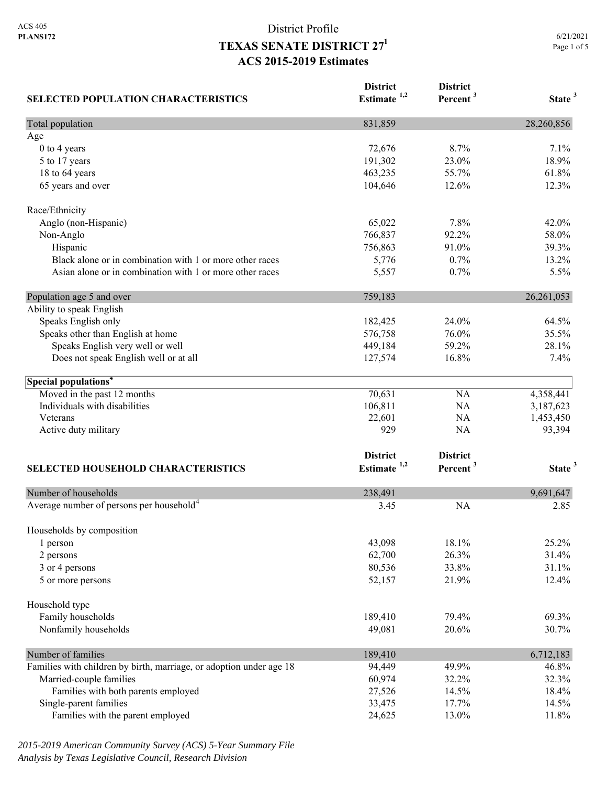| <b>SELECTED POPULATION CHARACTERISTICS</b>                          | <b>District</b><br>Estimate <sup>1,2</sup> | <b>District</b><br>Percent <sup>3</sup> | State <sup>3</sup> |
|---------------------------------------------------------------------|--------------------------------------------|-----------------------------------------|--------------------|
| Total population                                                    | 831,859                                    |                                         | 28,260,856         |
| Age                                                                 |                                            |                                         |                    |
| 0 to 4 years                                                        | 72,676                                     | 8.7%                                    | 7.1%               |
| 5 to 17 years                                                       | 191,302                                    | 23.0%                                   | 18.9%              |
| 18 to 64 years                                                      | 463,235                                    | 55.7%                                   | 61.8%              |
| 65 years and over                                                   | 104,646                                    | 12.6%                                   | 12.3%              |
| Race/Ethnicity                                                      |                                            |                                         |                    |
| Anglo (non-Hispanic)                                                | 65,022                                     | 7.8%                                    | 42.0%              |
| Non-Anglo                                                           | 766,837                                    | 92.2%                                   | 58.0%              |
| Hispanic                                                            | 756,863                                    | 91.0%                                   | 39.3%              |
| Black alone or in combination with 1 or more other races            | 5,776                                      | 0.7%                                    | 13.2%              |
| Asian alone or in combination with 1 or more other races            | 5,557                                      | 0.7%                                    | 5.5%               |
| Population age 5 and over                                           | 759,183                                    |                                         | 26, 261, 053       |
| Ability to speak English                                            |                                            |                                         |                    |
| Speaks English only                                                 | 182,425                                    | 24.0%                                   | 64.5%              |
| Speaks other than English at home                                   | 576,758                                    | 76.0%                                   | 35.5%              |
| Speaks English very well or well                                    | 449,184                                    | 59.2%                                   | 28.1%              |
| Does not speak English well or at all                               | 127,574                                    | 16.8%                                   | 7.4%               |
| Special populations <sup>4</sup>                                    |                                            |                                         |                    |
| Moved in the past 12 months                                         | 70,631                                     | NA                                      | 4,358,441          |
| Individuals with disabilities                                       | 106,811                                    | NA                                      | 3,187,623          |
| Veterans                                                            | 22,601                                     | NA                                      | 1,453,450          |
| Active duty military                                                | 929                                        | NA                                      | 93,394             |
|                                                                     | <b>District</b>                            | <b>District</b>                         |                    |
| <b>SELECTED HOUSEHOLD CHARACTERISTICS</b>                           | Estimate <sup>1,2</sup>                    | Percent <sup>3</sup>                    | State <sup>3</sup> |
| Number of households                                                | 238,491                                    |                                         | 9,691,647          |
| Average number of persons per household <sup>4</sup>                | 3.45                                       | <b>NA</b>                               | 2.85               |
| Households by composition                                           |                                            |                                         |                    |
| 1 person                                                            | 43,098                                     | 18.1%                                   | 25.2%              |
| 2 persons                                                           | 62,700                                     | 26.3%                                   | 31.4%              |
| 3 or 4 persons                                                      | 80,536                                     | 33.8%                                   | 31.1%              |
| 5 or more persons                                                   | 52,157                                     | 21.9%                                   | 12.4%              |
| Household type                                                      |                                            |                                         |                    |
| Family households                                                   | 189,410                                    | 79.4%                                   | 69.3%              |
| Nonfamily households                                                | 49,081                                     | 20.6%                                   | 30.7%              |
| Number of families                                                  | 189,410                                    |                                         | 6,712,183          |
| Families with children by birth, marriage, or adoption under age 18 | 94,449                                     | 49.9%                                   | 46.8%              |
| Married-couple families                                             | 60,974                                     | 32.2%                                   | 32.3%              |
| Families with both parents employed                                 | 27,526                                     | 14.5%                                   | 18.4%              |
| Single-parent families                                              | 33,475                                     | 17.7%                                   | 14.5%              |
| Families with the parent employed                                   | 24,625                                     | 13.0%                                   | 11.8%              |

*2015-2019 American Community Survey (ACS) 5-Year Summary File Analysis by Texas Legislative Council, Research Division*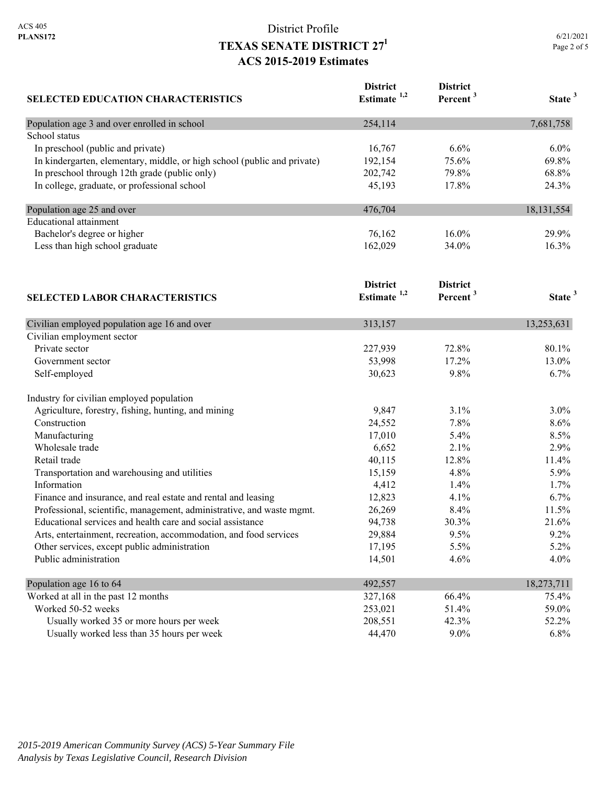| <b>SELECTED EDUCATION CHARACTERISTICS</b>                                | <b>District</b><br>Estimate <sup>1,2</sup> | <b>District</b><br>Percent <sup>3</sup> | State <sup>3</sup> |
|--------------------------------------------------------------------------|--------------------------------------------|-----------------------------------------|--------------------|
| Population age 3 and over enrolled in school                             | 254,114                                    |                                         | 7,681,758          |
| School status                                                            |                                            |                                         |                    |
| In preschool (public and private)                                        | 16,767                                     | 6.6%                                    | 6.0%               |
| In kindergarten, elementary, middle, or high school (public and private) | 192,154                                    | 75.6%                                   | 69.8%              |
| In preschool through 12th grade (public only)                            | 202,742                                    | 79.8%                                   | 68.8%              |
| In college, graduate, or professional school                             | 45,193                                     | 17.8%                                   | 24.3%              |
| Population age 25 and over                                               | 476,704                                    |                                         | 18, 131, 554       |
| <b>Educational attainment</b>                                            |                                            |                                         |                    |
| Bachelor's degree or higher                                              | 76,162                                     | 16.0%                                   | 29.9%              |
| Less than high school graduate                                           | 162,029                                    | 34.0%                                   | 16.3%              |
|                                                                          | <b>District</b>                            | <b>District</b>                         |                    |
| <b>SELECTED LABOR CHARACTERISTICS</b>                                    | Estimate $1,2$                             | Percent <sup>3</sup>                    | State <sup>3</sup> |
| Civilian employed population age 16 and over                             | 313,157                                    |                                         | 13,253,631         |
| Civilian employment sector                                               |                                            |                                         |                    |
| Private sector                                                           | 227,939                                    | 72.8%                                   | 80.1%              |
| Government sector                                                        | 53,998                                     | 17.2%                                   | 13.0%              |
| Self-employed                                                            | 30,623                                     | 9.8%                                    | 6.7%               |
| Industry for civilian employed population                                |                                            |                                         |                    |
| Agriculture, forestry, fishing, hunting, and mining                      | 9,847                                      | 3.1%                                    | 3.0%               |
| Construction                                                             | 24,552                                     | 7.8%                                    | 8.6%               |
| Manufacturing                                                            | 17,010                                     | 5.4%                                    | 8.5%               |
| Wholesale trade                                                          | 6,652                                      | 2.1%                                    | 2.9%               |
| Retail trade                                                             | 40,115                                     | 12.8%                                   | 11.4%              |
| Transportation and warehousing and utilities                             | 15,159                                     | 4.8%                                    | 5.9%               |
| Information                                                              | 4,412                                      | 1.4%                                    | 1.7%               |
| Finance and insurance, and real estate and rental and leasing            | 12,823                                     | 4.1%                                    | 6.7%               |
| Professional, scientific, management, administrative, and waste mgmt.    | 26,269                                     | 8.4%                                    | 11.5%              |
| Educational services and health care and social assistance               | 94,738                                     | 30.3%                                   | 21.6%              |
| Arts, entertainment, recreation, accommodation, and food services        | 29,884                                     | 9.5%                                    | 9.2%               |
| Other services, except public administration                             | 17,195                                     | 5.5%                                    | 5.2%               |
| Public administration                                                    | 14,501                                     | 4.6%                                    | 4.0%               |
| Population age 16 to 64                                                  | 492,557                                    |                                         | 18,273,711         |
| Worked at all in the past 12 months                                      | 327,168                                    | 66.4%                                   | 75.4%              |
| Worked 50-52 weeks                                                       | 253,021                                    | 51.4%                                   | 59.0%              |
| Usually worked 35 or more hours per week                                 | 208,551                                    | 42.3%                                   | 52.2%              |
| Usually worked less than 35 hours per week                               | 44,470                                     | $9.0\%$                                 | 6.8%               |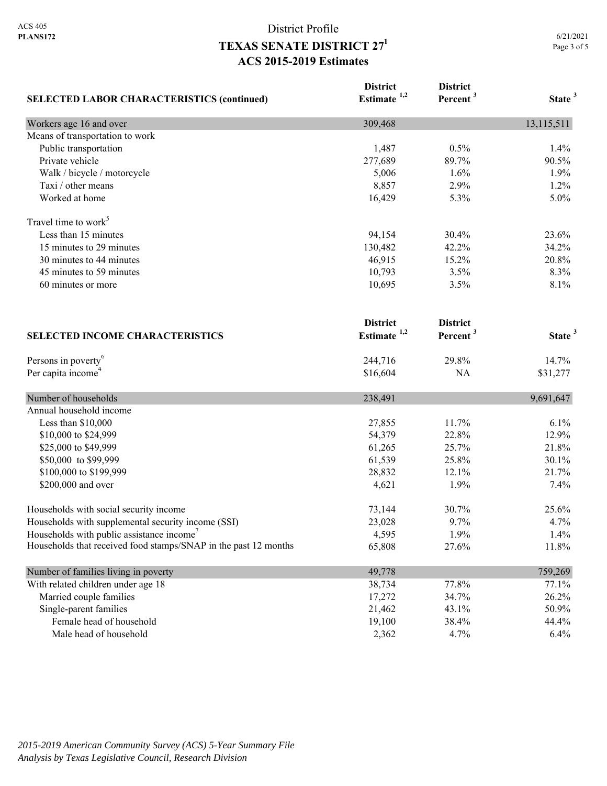| <b>SELECTED LABOR CHARACTERISTICS (continued)</b>               | <b>District</b><br>Estimate $1,2$ | <b>District</b><br>Percent <sup>3</sup> | State <sup>3</sup> |
|-----------------------------------------------------------------|-----------------------------------|-----------------------------------------|--------------------|
| Workers age 16 and over                                         | 309,468                           |                                         | 13,115,511         |
| Means of transportation to work                                 |                                   |                                         |                    |
| Public transportation                                           | 1,487                             | 0.5%                                    | 1.4%               |
| Private vehicle                                                 | 277,689                           | 89.7%                                   | 90.5%              |
| Walk / bicycle / motorcycle                                     | 5,006                             | 1.6%                                    | 1.9%               |
| Taxi / other means                                              | 8,857                             | 2.9%                                    | 1.2%               |
| Worked at home                                                  | 16,429                            | 5.3%                                    | 5.0%               |
| Travel time to work <sup>5</sup>                                |                                   |                                         |                    |
| Less than 15 minutes                                            | 94,154                            | 30.4%                                   | 23.6%              |
| 15 minutes to 29 minutes                                        | 130,482                           | 42.2%                                   | 34.2%              |
| 30 minutes to 44 minutes                                        | 46,915                            | 15.2%                                   | 20.8%              |
| 45 minutes to 59 minutes                                        | 10,793                            | 3.5%                                    | 8.3%               |
| 60 minutes or more                                              | 10,695                            | 3.5%                                    | 8.1%               |
|                                                                 | <b>District</b>                   | <b>District</b>                         |                    |
| <b>SELECTED INCOME CHARACTERISTICS</b>                          | Estimate <sup>1,2</sup>           | Percent <sup>3</sup>                    | State <sup>3</sup> |
| Persons in poverty <sup>6</sup>                                 | 244,716                           | 29.8%                                   | 14.7%              |
| Per capita income <sup>4</sup>                                  | \$16,604                          | NA                                      | \$31,277           |
| Number of households                                            | 238,491                           |                                         | 9,691,647          |
| Annual household income                                         |                                   |                                         |                    |
| Less than \$10,000                                              | 27,855                            | 11.7%                                   | 6.1%               |
| \$10,000 to \$24,999                                            | 54,379                            | 22.8%                                   | 12.9%              |
| \$25,000 to \$49,999                                            | 61,265                            | 25.7%                                   | 21.8%              |
| \$50,000 to \$99,999                                            | 61,539                            | 25.8%                                   | 30.1%              |
| \$100,000 to \$199,999                                          | 28,832                            | 12.1%                                   | 21.7%              |
| \$200,000 and over                                              | 4,621                             | 1.9%                                    | 7.4%               |
| Households with social security income                          | 73,144                            | 30.7%                                   | 25.6%              |
| Households with supplemental security income (SSI)              | 23,028                            | 9.7%                                    | 4.7%               |
| Households with public assistance income'                       | 4,595                             | 1.9%                                    | 1.4%               |
| Households that received food stamps/SNAP in the past 12 months | 65,808                            | 27.6%                                   | 11.8%              |
| Number of families living in poverty                            | 49,778                            |                                         | 759,269            |
| With related children under age 18                              | 38,734                            | 77.8%                                   | 77.1%              |
| Married couple families                                         | 17,272                            | 34.7%                                   | 26.2%              |
| Single-parent families                                          | 21,462                            | 43.1%                                   | 50.9%              |
| Female head of household                                        | 19,100                            | 38.4%                                   | 44.4%              |
| Male head of household                                          | 2,362                             | 4.7%                                    | 6.4%               |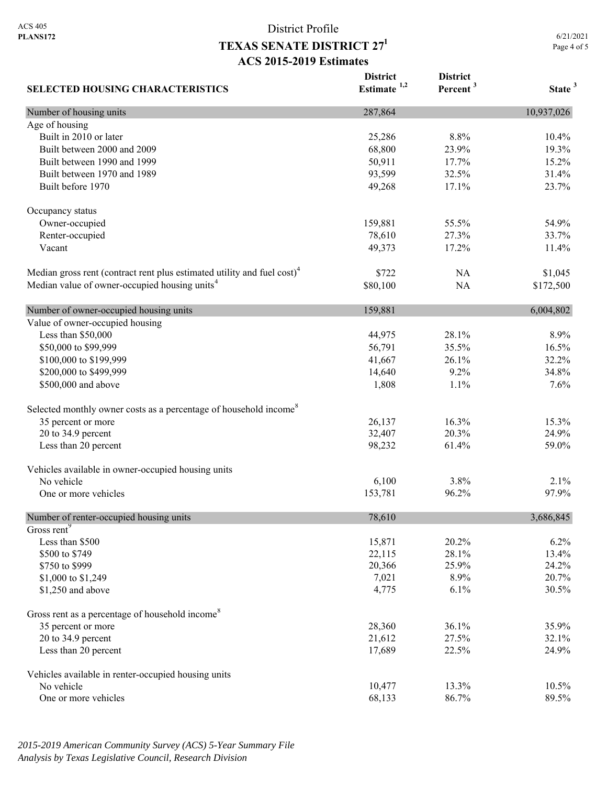6/21/2021 Page 4 of 5

| <b>SELECTED HOUSING CHARACTERISTICS</b>                                             | <b>District</b><br>Estimate $1,2$ | <b>District</b><br>Percent <sup>3</sup> | State <sup>3</sup> |
|-------------------------------------------------------------------------------------|-----------------------------------|-----------------------------------------|--------------------|
| Number of housing units                                                             | 287,864                           |                                         | 10,937,026         |
| Age of housing                                                                      |                                   |                                         |                    |
| Built in 2010 or later                                                              | 25,286                            | 8.8%                                    | 10.4%              |
| Built between 2000 and 2009                                                         | 68,800                            | 23.9%                                   | 19.3%              |
| Built between 1990 and 1999                                                         | 50,911                            | 17.7%                                   | 15.2%              |
| Built between 1970 and 1989                                                         | 93,599                            | 32.5%                                   | 31.4%              |
| Built before 1970                                                                   | 49,268                            | 17.1%                                   | 23.7%              |
| Occupancy status                                                                    |                                   |                                         |                    |
| Owner-occupied                                                                      | 159,881                           | 55.5%                                   | 54.9%              |
| Renter-occupied                                                                     | 78,610                            | 27.3%                                   | 33.7%              |
| Vacant                                                                              | 49,373                            | 17.2%                                   | 11.4%              |
| Median gross rent (contract rent plus estimated utility and fuel cost) <sup>4</sup> | \$722                             | <b>NA</b>                               | \$1,045            |
| Median value of owner-occupied housing units <sup>4</sup>                           | \$80,100                          | NA                                      | \$172,500          |
| Number of owner-occupied housing units                                              | 159,881                           |                                         | 6,004,802          |
| Value of owner-occupied housing                                                     |                                   |                                         |                    |
| Less than \$50,000                                                                  | 44,975                            | 28.1%                                   | 8.9%               |
| \$50,000 to \$99,999                                                                | 56,791                            | 35.5%                                   | 16.5%              |
| \$100,000 to \$199,999                                                              | 41,667                            | 26.1%                                   | 32.2%              |
| \$200,000 to \$499,999                                                              | 14,640                            | 9.2%                                    | 34.8%              |
| \$500,000 and above                                                                 | 1,808                             | 1.1%                                    | 7.6%               |
| Selected monthly owner costs as a percentage of household income <sup>8</sup>       |                                   |                                         |                    |
| 35 percent or more                                                                  | 26,137                            | 16.3%                                   | 15.3%              |
| 20 to 34.9 percent                                                                  | 32,407                            | 20.3%                                   | 24.9%              |
| Less than 20 percent                                                                | 98,232                            | 61.4%                                   | 59.0%              |
| Vehicles available in owner-occupied housing units                                  |                                   |                                         |                    |
| No vehicle                                                                          | 6,100                             | 3.8%                                    | 2.1%               |
| One or more vehicles                                                                | 153,781                           | 96.2%                                   | 97.9%              |
| Number of renter-occupied housing units                                             | 78,610                            |                                         | 3,686,845          |
| Gross rent <sup>9</sup>                                                             |                                   |                                         |                    |
| Less than \$500                                                                     | 15,871                            | 20.2%                                   | 6.2%               |
| \$500 to \$749                                                                      | 22,115                            | 28.1%                                   | 13.4%              |
| \$750 to \$999                                                                      | 20,366                            | 25.9%                                   | 24.2%              |
| \$1,000 to \$1,249                                                                  | 7,021                             | 8.9%                                    | 20.7%              |
| \$1,250 and above                                                                   | 4,775                             | 6.1%                                    | 30.5%              |
| Gross rent as a percentage of household income <sup>8</sup>                         |                                   |                                         |                    |
| 35 percent or more                                                                  | 28,360                            | 36.1%                                   | 35.9%              |
| 20 to 34.9 percent                                                                  | 21,612                            | 27.5%                                   | 32.1%              |
| Less than 20 percent                                                                | 17,689                            | 22.5%                                   | 24.9%              |
| Vehicles available in renter-occupied housing units                                 |                                   |                                         |                    |
| No vehicle                                                                          | 10,477                            | 13.3%                                   | 10.5%              |
| One or more vehicles                                                                | 68,133                            | 86.7%                                   | 89.5%              |